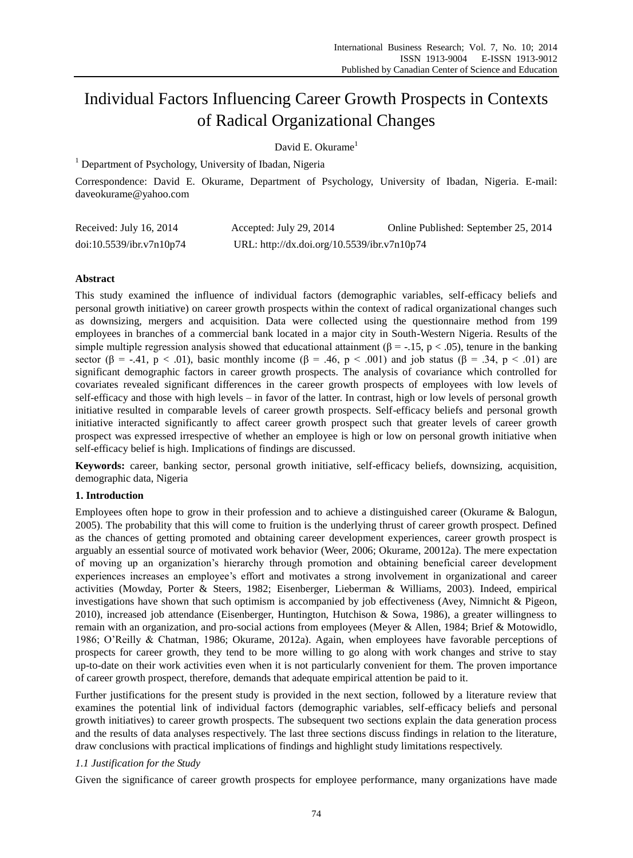# Individual Factors Influencing Career Growth Prospects in Contexts of Radical Organizational Changes

David E. Okurame<sup>1</sup>

 $1$  Department of Psychology, University of Ibadan, Nigeria

Correspondence: David E. Okurame, Department of Psychology, University of Ibadan, Nigeria. E-mail: daveokurame@yahoo.com

| Received: July 16, 2014  | Accepted: July 29, 2014                     | Online Published: September 25, 2014 |
|--------------------------|---------------------------------------------|--------------------------------------|
| doi:10.5539/ibr.v7n10p74 | URL: http://dx.doi.org/10.5539/ibr.v7n10p74 |                                      |

# **Abstract**

This study examined the influence of individual factors (demographic variables, self-efficacy beliefs and personal growth initiative) on career growth prospects within the context of radical organizational changes such as downsizing, mergers and acquisition. Data were collected using the questionnaire method from 199 employees in branches of a commercial bank located in a major city in South-Western Nigeria. Results of the simple multiple regression analysis showed that educational attainment ( $\beta = -15$ , p < .05), tenure in the banking sector ( $\beta$  = -.41, p < .01), basic monthly income ( $\beta$  = .46, p < .001) and job status ( $\beta$  = .34, p < .01) are significant demographic factors in career growth prospects. The analysis of covariance which controlled for covariates revealed significant differences in the career growth prospects of employees with low levels of self-efficacy and those with high levels – in favor of the latter. In contrast, high or low levels of personal growth initiative resulted in comparable levels of career growth prospects. Self-efficacy beliefs and personal growth initiative interacted significantly to affect career growth prospect such that greater levels of career growth prospect was expressed irrespective of whether an employee is high or low on personal growth initiative when self-efficacy belief is high. Implications of findings are discussed.

**Keywords:** career, banking sector, personal growth initiative, self-efficacy beliefs, downsizing, acquisition, demographic data, Nigeria

## **1. Introduction**

Employees often hope to grow in their profession and to achieve a distinguished career (Okurame & Balogun, 2005). The probability that this will come to fruition is the underlying thrust of career growth prospect. Defined as the chances of getting promoted and obtaining career development experiences, career growth prospect is arguably an essential source of motivated work behavior (Weer, 2006; Okurame, 20012a). The mere expectation of moving up an organization"s hierarchy through promotion and obtaining beneficial career development experiences increases an employee"s effort and motivates a strong involvement in organizational and career activities (Mowday, Porter & Steers, 1982; Eisenberger, Lieberman & Williams, 2003). Indeed, empirical investigations have shown that such optimism is accompanied by job effectiveness (Avey, Nimnicht & Pigeon, 2010), increased job attendance (Eisenberger, Huntington, Hutchison & Sowa, 1986), a greater willingness to remain with an organization, and pro-social actions from employees (Meyer & Allen, 1984; Brief & Motowidlo, 1986; O"Reilly & Chatman, 1986; Okurame, 2012a). Again, when employees have favorable perceptions of prospects for career growth, they tend to be more willing to go along with work changes and strive to stay up-to-date on their work activities even when it is not particularly convenient for them. The proven importance of career growth prospect, therefore, demands that adequate empirical attention be paid to it.

Further justifications for the present study is provided in the next section, followed by a literature review that examines the potential link of individual factors (demographic variables, self-efficacy beliefs and personal growth initiatives) to career growth prospects. The subsequent two sections explain the data generation process and the results of data analyses respectively. The last three sections discuss findings in relation to the literature, draw conclusions with practical implications of findings and highlight study limitations respectively.

## *1.1 Justification for the Study*

Given the significance of career growth prospects for employee performance, many organizations have made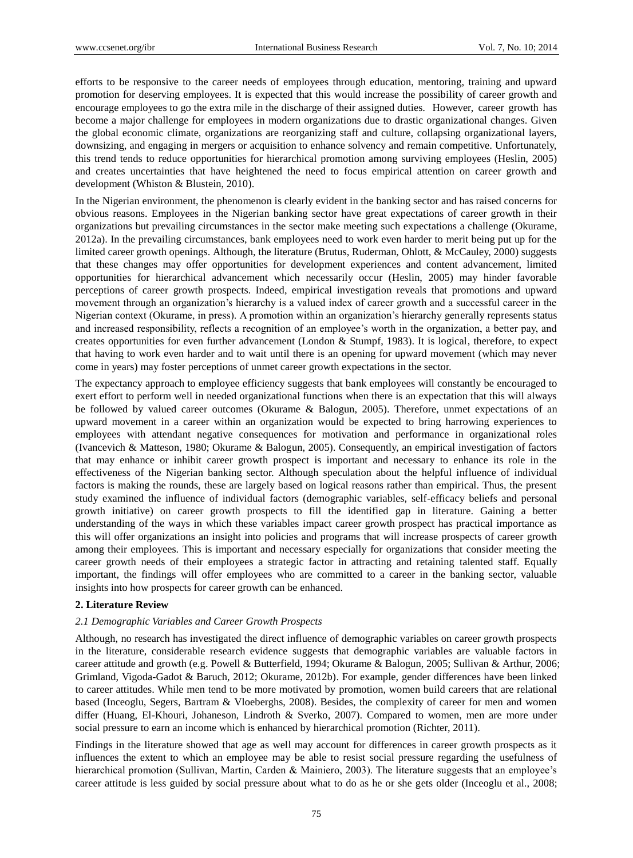efforts to be responsive to the career needs of employees through education, mentoring, training and upward promotion for deserving employees. It is expected that this would increase the possibility of career growth and encourage employees to go the extra mile in the discharge of their assigned duties. However, career growth has become a major challenge for employees in modern organizations due to drastic organizational changes. Given the global economic climate, organizations are reorganizing staff and culture, collapsing organizational layers, downsizing, and engaging in mergers or acquisition to enhance solvency and remain competitive. Unfortunately, this trend tends to reduce opportunities for hierarchical promotion among surviving employees (Heslin, 2005) and creates uncertainties that have heightened the need to focus empirical attention on career growth and development (Whiston & Blustein, 2010).

In the Nigerian environment, the phenomenon is clearly evident in the banking sector and has raised concerns for obvious reasons. Employees in the Nigerian banking sector have great expectations of career growth in their organizations but prevailing circumstances in the sector make meeting such expectations a challenge (Okurame, 2012a). In the prevailing circumstances, bank employees need to work even harder to merit being put up for the limited career growth openings. Although, the literature (Brutus, Ruderman, Ohlott, & McCauley, 2000) suggests that these changes may offer opportunities for development experiences and content advancement, limited opportunities for hierarchical advancement which necessarily occur (Heslin, 2005) may hinder favorable perceptions of career growth prospects. Indeed, empirical investigation reveals that promotions and upward movement through an organization"s hierarchy is a valued index of career growth and a successful career in the Nigerian context (Okurame, in press). A promotion within an organization"s hierarchy generally represents status and increased responsibility, reflects a recognition of an employee"s worth in the organization, a better pay, and creates opportunities for even further advancement (London & Stumpf, 1983). It is logical, therefore, to expect that having to work even harder and to wait until there is an opening for upward movement (which may never come in years) may foster perceptions of unmet career growth expectations in the sector.

The expectancy approach to employee efficiency suggests that bank employees will constantly be encouraged to exert effort to perform well in needed organizational functions when there is an expectation that this will always be followed by valued career outcomes (Okurame & Balogun, 2005). Therefore, unmet expectations of an upward movement in a career within an organization would be expected to bring harrowing experiences to employees with attendant negative consequences for motivation and performance in organizational roles (Ivancevich & Matteson, 1980; Okurame & Balogun, 2005). Consequently, an empirical investigation of factors that may enhance or inhibit career growth prospect is important and necessary to enhance its role in the effectiveness of the Nigerian banking sector. Although speculation about the helpful influence of individual factors is making the rounds, these are largely based on logical reasons rather than empirical. Thus, the present study examined the influence of individual factors (demographic variables, self-efficacy beliefs and personal growth initiative) on career growth prospects to fill the identified gap in literature. Gaining a better understanding of the ways in which these variables impact career growth prospect has practical importance as this will offer organizations an insight into policies and programs that will increase prospects of career growth among their employees. This is important and necessary especially for organizations that consider meeting the career growth needs of their employees a strategic factor in attracting and retaining talented staff. Equally important, the findings will offer employees who are committed to a career in the banking sector, valuable insights into how prospects for career growth can be enhanced.

### **2. Literature Review**

#### *2.1 Demographic Variables and Career Growth Prospects*

Although, no research has investigated the direct influence of demographic variables on career growth prospects in the literature, considerable research evidence suggests that demographic variables are valuable factors in career attitude and growth (e.g. Powell & Butterfield, 1994; Okurame & Balogun, 2005; Sullivan & Arthur, 2006; Grimland, Vigoda-Gadot & Baruch, 2012; Okurame, 2012b). For example, gender differences have been linked to career attitudes. While men tend to be more motivated by promotion, women build careers that are relational based (Inceoglu, Segers, Bartram & Vloeberghs, 2008). Besides, the complexity of career for men and women differ (Huang, El-Khouri, Johaneson, Lindroth & Sverko, 2007). Compared to women, men are more under social pressure to earn an income which is enhanced by hierarchical promotion (Richter, 2011).

Findings in the literature showed that age as well may account for differences in career growth prospects as it influences the extent to which an employee may be able to resist social pressure regarding the usefulness of hierarchical promotion (Sullivan, Martin, Carden & Mainiero, 2003). The literature suggests that an employee's career attitude is less guided by social pressure about what to do as he or she gets older (Inceoglu et al., 2008;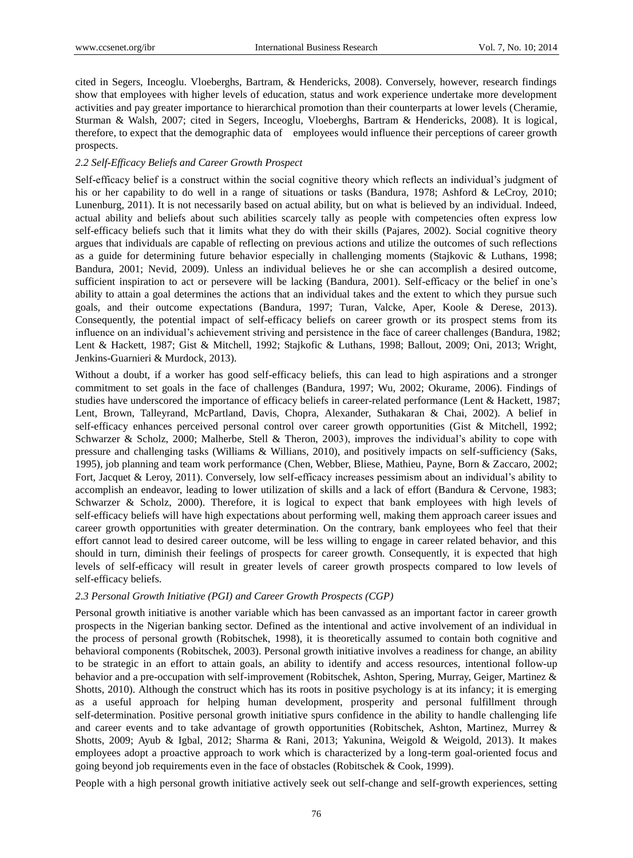cited in Segers, Inceoglu. Vloeberghs, Bartram, & Hendericks, 2008). Conversely, however, research findings show that employees with higher levels of education, status and work experience undertake more development activities and pay greater importance to hierarchical promotion than their counterparts at lower levels (Cheramie, Sturman & Walsh, 2007; cited in Segers, Inceoglu, Vloeberghs, Bartram & Hendericks, 2008). It is logical, therefore, to expect that the demographic data of employees would influence their perceptions of career growth prospects.

# *2.2 Self-Efficacy Beliefs and Career Growth Prospect*

Self-efficacy belief is a construct within the social cognitive theory which reflects an individual's judgment of his or her capability to do well in a range of situations or tasks (Bandura, 1978; Ashford & LeCroy, 2010; Lunenburg, 2011). It is not necessarily based on actual ability, but on what is believed by an individual. Indeed, actual ability and beliefs about such abilities scarcely tally as people with competencies often express low self-efficacy beliefs such that it limits what they do with their skills (Pajares, 2002). Social cognitive theory argues that individuals are capable of reflecting on previous actions and utilize the outcomes of such reflections as a guide for determining future behavior especially in challenging moments (Stajkovic & Luthans, 1998; Bandura, 2001; Nevid, 2009). Unless an individual believes he or she can accomplish a desired outcome, sufficient inspiration to act or persevere will be lacking (Bandura, 2001). Self-efficacy or the belief in one's ability to attain a goal determines the actions that an individual takes and the extent to which they pursue such goals, and their outcome expectations (Bandura, 1997; Turan, Valcke, Aper, Koole & Derese, 2013). Consequently, the potential impact of self-efficacy beliefs on career growth or its prospect stems from its influence on an individual's achievement striving and persistence in the face of career challenges (Bandura, 1982; Lent & Hackett, 1987; Gist & Mitchell, 1992; Stajkofic & Luthans, 1998; Ballout, 2009; Oni, 2013; Wright, Jenkins-Guarnieri & Murdock, 2013).

Without a doubt, if a worker has good self-efficacy beliefs, this can lead to high aspirations and a stronger commitment to set goals in the face of challenges (Bandura, 1997; Wu, 2002; Okurame, 2006). Findings of studies have underscored the importance of efficacy beliefs in career-related performance (Lent & Hackett, 1987; Lent, Brown, Talleyrand, McPartland, Davis, Chopra, Alexander, Suthakaran & Chai, 2002). A belief in self-efficacy enhances perceived personal control over career growth opportunities (Gist & Mitchell, 1992; Schwarzer & Scholz, 2000; Malherbe, Stell & Theron, 2003), improves the individual's ability to cope with pressure and challenging tasks (Williams & Willians, 2010), and positively impacts on self-sufficiency (Saks, 1995), job planning and team work performance (Chen, Webber, Bliese, Mathieu, Payne, Born & Zaccaro, 2002; Fort, Jacquet & Leroy, 2011). Conversely, low self-efficacy increases pessimism about an individual's ability to accomplish an endeavor, leading to lower utilization of skills and a lack of effort (Bandura & Cervone, 1983; Schwarzer & Scholz, 2000). Therefore, it is logical to expect that bank employees with high levels of self-efficacy beliefs will have high expectations about performing well, making them approach career issues and career growth opportunities with greater determination. On the contrary, bank employees who feel that their effort cannot lead to desired career outcome, will be less willing to engage in career related behavior, and this should in turn, diminish their feelings of prospects for career growth. Consequently, it is expected that high levels of self-efficacy will result in greater levels of career growth prospects compared to low levels of self-efficacy beliefs.

## *2.3 Personal Growth Initiative (PGI) and Career Growth Prospects (CGP)*

Personal growth initiative is another variable which has been canvassed as an important factor in career growth prospects in the Nigerian banking sector. Defined as the intentional and active involvement of an individual in the process of personal growth (Robitschek, 1998), it is theoretically assumed to contain both cognitive and behavioral components (Robitschek, 2003). Personal growth initiative involves a readiness for change, an ability to be strategic in an effort to attain goals, an ability to identify and access resources, intentional follow-up behavior and a pre-occupation with self-improvement (Robitschek, Ashton, Spering, Murray, Geiger, Martinez & Shotts, 2010). Although the construct which has its roots in positive psychology is at its infancy; it is emerging as a useful approach for helping human development, prosperity and personal fulfillment through self-determination. Positive personal growth initiative spurs confidence in the ability to handle challenging life and career events and to take advantage of growth opportunities (Robitschek, Ashton, Martinez, Murrey & Shotts, 2009; Ayub & Igbal, 2012; Sharma & Rani, 2013; Yakunina, Weigold & Weigold, 2013). It makes employees adopt a proactive approach to work which is characterized by a long-term goal-oriented focus and going beyond job requirements even in the face of obstacles (Robitschek & Cook, 1999).

People with a high personal growth initiative actively seek out self-change and self-growth experiences, setting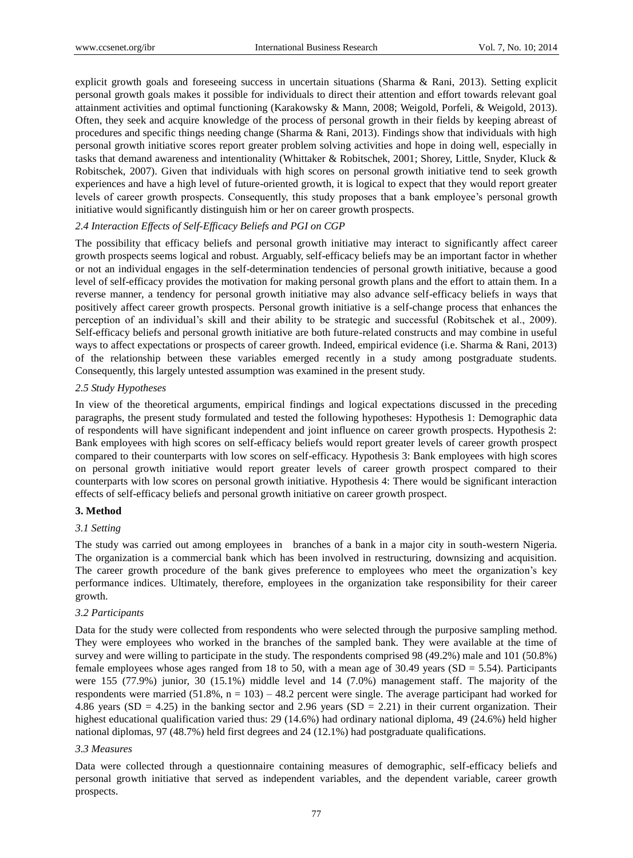explicit growth goals and foreseeing success in uncertain situations (Sharma & Rani, 2013). Setting explicit personal growth goals makes it possible for individuals to direct their attention and effort towards relevant goal attainment activities and optimal functioning (Karakowsky & Mann, 2008; Weigold, Porfeli, & Weigold, 2013). Often, they seek and acquire knowledge of the process of personal growth in their fields by keeping abreast of procedures and specific things needing change (Sharma & Rani, 2013). Findings show that individuals with high personal growth initiative scores report greater problem solving activities and hope in doing well, especially in tasks that demand awareness and intentionality (Whittaker & Robitschek, 2001; Shorey, Little, Snyder, Kluck & Robitschek, 2007). Given that individuals with high scores on personal growth initiative tend to seek growth experiences and have a high level of future-oriented growth, it is logical to expect that they would report greater levels of career growth prospects. Consequently, this study proposes that a bank employee's personal growth initiative would significantly distinguish him or her on career growth prospects.

## *2.4 Interaction Effects of Self-Efficacy Beliefs and PGI on CGP*

The possibility that efficacy beliefs and personal growth initiative may interact to significantly affect career growth prospects seems logical and robust. Arguably, self-efficacy beliefs may be an important factor in whether or not an individual engages in the self-determination tendencies of personal growth initiative, because a good level of self-efficacy provides the motivation for making personal growth plans and the effort to attain them. In a reverse manner, a tendency for personal growth initiative may also advance self-efficacy beliefs in ways that positively affect career growth prospects. Personal growth initiative is a self-change process that enhances the perception of an individual"s skill and their ability to be strategic and successful (Robitschek et al., 2009). Self-efficacy beliefs and personal growth initiative are both future-related constructs and may combine in useful ways to affect expectations or prospects of career growth. Indeed, empirical evidence (i.e. Sharma & Rani, 2013) of the relationship between these variables emerged recently in a study among postgraduate students. Consequently, this largely untested assumption was examined in the present study.

## *2.5 Study Hypotheses*

In view of the theoretical arguments, empirical findings and logical expectations discussed in the preceding paragraphs, the present study formulated and tested the following hypotheses: Hypothesis 1: Demographic data of respondents will have significant independent and joint influence on career growth prospects. Hypothesis 2: Bank employees with high scores on self-efficacy beliefs would report greater levels of career growth prospect compared to their counterparts with low scores on self-efficacy. Hypothesis 3: Bank employees with high scores on personal growth initiative would report greater levels of career growth prospect compared to their counterparts with low scores on personal growth initiative. Hypothesis 4: There would be significant interaction effects of self-efficacy beliefs and personal growth initiative on career growth prospect.

## **3. Method**

## *3.1 Setting*

The study was carried out among employees in branches of a bank in a major city in south-western Nigeria. The organization is a commercial bank which has been involved in restructuring, downsizing and acquisition. The career growth procedure of the bank gives preference to employees who meet the organization's key performance indices. Ultimately, therefore, employees in the organization take responsibility for their career growth.

#### *3.2 Participants*

Data for the study were collected from respondents who were selected through the purposive sampling method. They were employees who worked in the branches of the sampled bank. They were available at the time of survey and were willing to participate in the study. The respondents comprised 98 (49.2%) male and 101 (50.8%) female employees whose ages ranged from 18 to 50, with a mean age of 30.49 years (SD = 5.54). Participants were 155 (77.9%) junior, 30 (15.1%) middle level and 14 (7.0%) management staff. The majority of the respondents were married (51.8%, n = 103) – 48.2 percent were single. The average participant had worked for 4.86 years (SD = 4.25) in the banking sector and 2.96 years (SD = 2.21) in their current organization. Their highest educational qualification varied thus: 29 (14.6%) had ordinary national diploma, 49 (24.6%) held higher national diplomas, 97 (48.7%) held first degrees and 24 (12.1%) had postgraduate qualifications.

#### *3.3 Measures*

Data were collected through a questionnaire containing measures of demographic, self-efficacy beliefs and personal growth initiative that served as independent variables, and the dependent variable, career growth prospects.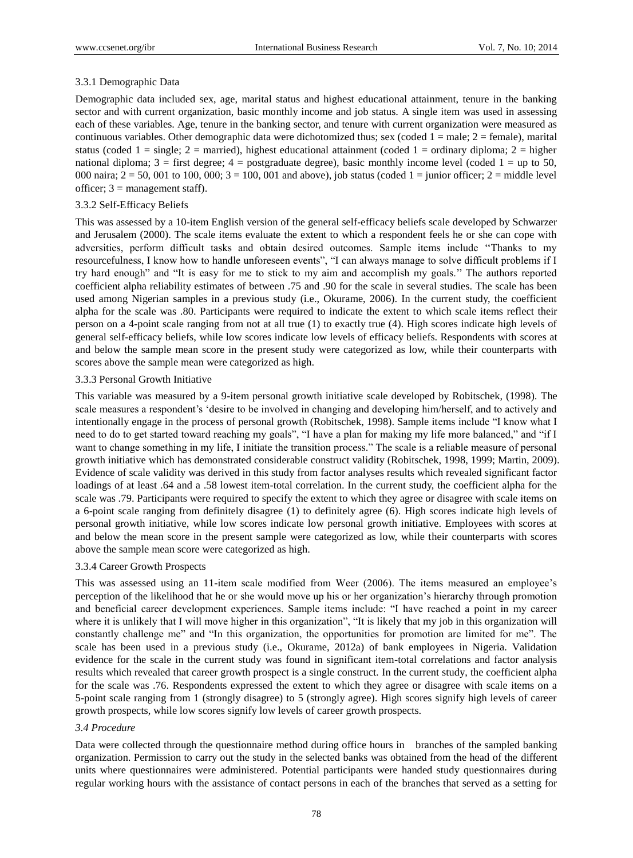# 3.3.1 Demographic Data

Demographic data included sex, age, marital status and highest educational attainment, tenure in the banking sector and with current organization, basic monthly income and job status. A single item was used in assessing each of these variables. Age, tenure in the banking sector, and tenure with current organization were measured as continuous variables. Other demographic data were dichotomized thus; sex (coded 1 = male; 2 = female), marital status (coded 1 = single; 2 = married), highest educational attainment (coded 1 = ordinary diploma; 2 = higher national diploma; 3 = first degree; 4 = postgraduate degree), basic monthly income level (coded 1 = up to 50, 000 naira;  $2 = 50$ , 001 to 100, 000;  $3 = 100$ , 001 and above), job status (coded 1 = junior officer;  $2 =$  middle level officer;  $3 =$  management staff).

# 3.3.2 Self-Efficacy Beliefs

This was assessed by a 10-item English version of the general self-efficacy beliefs scale developed by Schwarzer and Jerusalem (2000). The scale items evaluate the extent to which a respondent feels he or she can cope with adversities, perform difficult tasks and obtain desired outcomes. Sample items include ""Thanks to my resourcefulness, I know how to handle unforeseen events", "I can always manage to solve difficult problems if I try hard enough" and "It is easy for me to stick to my aim and accomplish my goals."" The authors reported coefficient alpha reliability estimates of between .75 and .90 for the scale in several studies. The scale has been used among Nigerian samples in a previous study (i.e., Okurame, 2006). In the current study, the coefficient alpha for the scale was .80. Participants were required to indicate the extent to which scale items reflect their person on a 4-point scale ranging from not at all true (1) to exactly true (4). High scores indicate high levels of general self-efficacy beliefs, while low scores indicate low levels of efficacy beliefs. Respondents with scores at and below the sample mean score in the present study were categorized as low, while their counterparts with scores above the sample mean were categorized as high.

# 3.3.3 Personal Growth Initiative

This variable was measured by a 9-item personal growth initiative scale developed by Robitschek, (1998). The scale measures a respondent"s "desire to be involved in changing and developing him/herself, and to actively and intentionally engage in the process of personal growth (Robitschek, 1998). Sample items include "I know what I need to do to get started toward reaching my goals", "I have a plan for making my life more balanced," and "if I want to change something in my life, I initiate the transition process." The scale is a reliable measure of personal growth initiative which has demonstrated considerable construct validity (Robitschek, 1998, 1999; Martin, 2009). Evidence of scale validity was derived in this study from factor analyses results which revealed significant factor loadings of at least .64 and a .58 lowest item-total correlation. In the current study, the coefficient alpha for the scale was .79. Participants were required to specify the extent to which they agree or disagree with scale items on a 6-point scale ranging from definitely disagree (1) to definitely agree (6). High scores indicate high levels of personal growth initiative, while low scores indicate low personal growth initiative. Employees with scores at and below the mean score in the present sample were categorized as low, while their counterparts with scores above the sample mean score were categorized as high.

## 3.3.4 Career Growth Prospects

This was assessed using an 11-item scale modified from Weer (2006). The items measured an employee"s perception of the likelihood that he or she would move up his or her organization"s hierarchy through promotion and beneficial career development experiences. Sample items include: "I have reached a point in my career where it is unlikely that I will move higher in this organization", "It is likely that my job in this organization will constantly challenge me" and "In this organization, the opportunities for promotion are limited for me". The scale has been used in a previous study (i.e., Okurame, 2012a) of bank employees in Nigeria. Validation evidence for the scale in the current study was found in significant item-total correlations and factor analysis results which revealed that career growth prospect is a single construct. In the current study, the coefficient alpha for the scale was .76. Respondents expressed the extent to which they agree or disagree with scale items on a 5-point scale ranging from 1 (strongly disagree) to 5 (strongly agree). High scores signify high levels of career growth prospects, while low scores signify low levels of career growth prospects.

## *3.4 Procedure*

Data were collected through the questionnaire method during office hours in branches of the sampled banking organization. Permission to carry out the study in the selected banks was obtained from the head of the different units where questionnaires were administered. Potential participants were handed study questionnaires during regular working hours with the assistance of contact persons in each of the branches that served as a setting for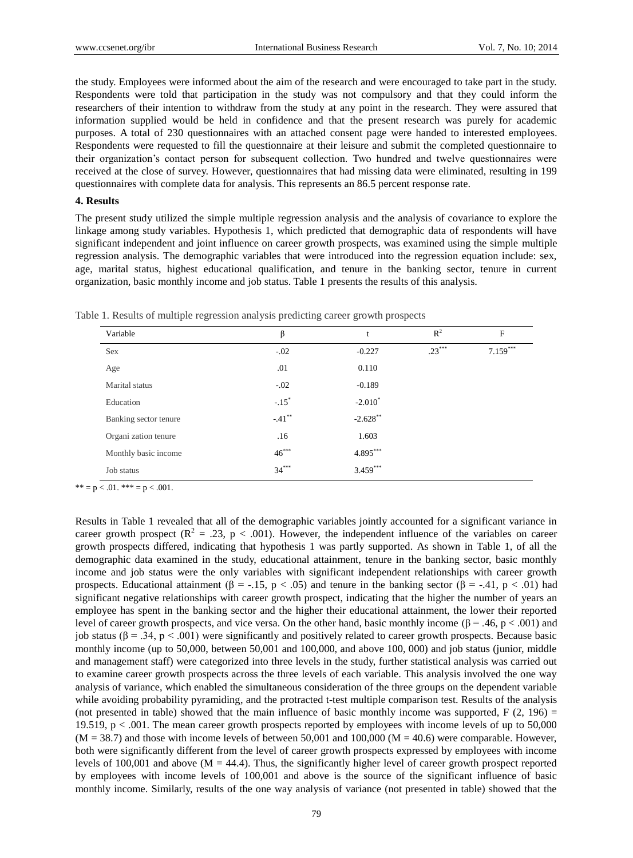the study. Employees were informed about the aim of the research and were encouraged to take part in the study. Respondents were told that participation in the study was not compulsory and that they could inform the researchers of their intention to withdraw from the study at any point in the research. They were assured that information supplied would be held in confidence and that the present research was purely for academic purposes. A total of 230 questionnaires with an attached consent page were handed to interested employees. Respondents were requested to fill the questionnaire at their leisure and submit the completed questionnaire to their organization's contact person for subsequent collection. Two hundred and twelve questionnaires were received at the close of survey. However, questionnaires that had missing data were eliminated, resulting in 199 questionnaires with complete data for analysis. This represents an 86.5 percent response rate.

## **4. Results**

The present study utilized the simple multiple regression analysis and the analysis of covariance to explore the linkage among study variables. Hypothesis 1, which predicted that demographic data of respondents will have significant independent and joint influence on career growth prospects, was examined using the simple multiple regression analysis. The demographic variables that were introduced into the regression equation include: sex, age, marital status, highest educational qualification, and tenure in the banking sector, tenure in current organization, basic monthly income and job status. Table 1 presents the results of this analysis.

| Variable              | β                   | t           | $R^2$    | F          |
|-----------------------|---------------------|-------------|----------|------------|
| Sex                   | $-.02$              | $-0.227$    | $.23***$ | $7.159***$ |
| Age                   | .01                 | 0.110       |          |            |
| Marital status        | $-.02$              | $-0.189$    |          |            |
| Education             | $-.15$ <sup>*</sup> | $-2.010^*$  |          |            |
| Banking sector tenure | $-41**$             | $-2.628$ ** |          |            |
| Organi zation tenure  | .16                 | 1.603       |          |            |
| Monthly basic income  | $46***$             | 4.895***    |          |            |
| Job status            | $34***$             | $3.459***$  |          |            |

Table 1. Results of multiple regression analysis predicting career growth prospects

 $** = p < .01.$  \*\*\*  $= p < .001.$ 

Results in Table 1 revealed that all of the demographic variables jointly accounted for a significant variance in career growth prospect ( $\mathbb{R}^2 = .23$ ,  $p < .001$ ). However, the independent influence of the variables on career growth prospects differed, indicating that hypothesis 1 was partly supported. As shown in Table 1, of all the demographic data examined in the study, educational attainment, tenure in the banking sector, basic monthly income and job status were the only variables with significant independent relationships with career growth prospects. Educational attainment (β = -.15, p < .05) and tenure in the banking sector (β = -.41, p < .01) had significant negative relationships with career growth prospect, indicating that the higher the number of years an employee has spent in the banking sector and the higher their educational attainment, the lower their reported level of career growth prospects, and vice versa. On the other hand, basic monthly income  $(\beta = .46, p < .001)$  and job status (β = .34, p < .001) were significantly and positively related to career growth prospects. Because basic monthly income (up to 50,000, between 50,001 and 100,000, and above 100, 000) and job status (junior, middle and management staff) were categorized into three levels in the study, further statistical analysis was carried out to examine career growth prospects across the three levels of each variable. This analysis involved the one way analysis of variance, which enabled the simultaneous consideration of the three groups on the dependent variable while avoiding probability pyramiding, and the protracted t-test multiple comparison test. Results of the analysis (not presented in table) showed that the main influence of basic monthly income was supported, F  $(2, 196)$  = 19.519, p < .001. The mean career growth prospects reported by employees with income levels of up to 50,000  $(M = 38.7)$  and those with income levels of between 50,001 and 100,000 ( $M = 40.6$ ) were comparable. However, both were significantly different from the level of career growth prospects expressed by employees with income levels of 100,001 and above  $(M = 44.4)$ . Thus, the significantly higher level of career growth prospect reported by employees with income levels of 100,001 and above is the source of the significant influence of basic monthly income. Similarly, results of the one way analysis of variance (not presented in table) showed that the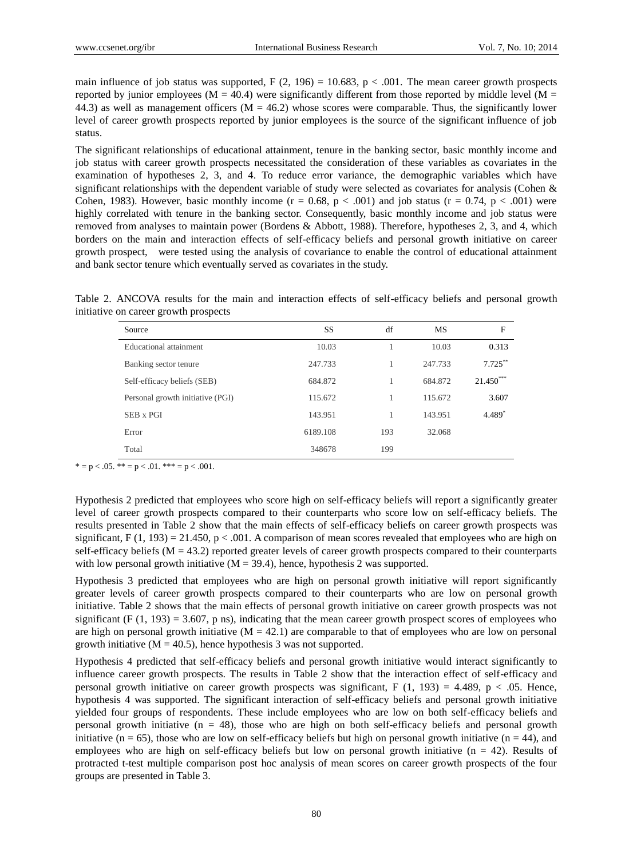main influence of job status was supported,  $F(2, 196) = 10.683$ ,  $p < .001$ . The mean career growth prospects reported by junior employees ( $M = 40.4$ ) were significantly different from those reported by middle level ( $M =$ 44.3) as well as management officers ( $M = 46.2$ ) whose scores were comparable. Thus, the significantly lower level of career growth prospects reported by junior employees is the source of the significant influence of job status.

The significant relationships of educational attainment, tenure in the banking sector, basic monthly income and job status with career growth prospects necessitated the consideration of these variables as covariates in the examination of hypotheses 2, 3, and 4. To reduce error variance, the demographic variables which have significant relationships with the dependent variable of study were selected as covariates for analysis (Cohen  $\&$ Cohen, 1983). However, basic monthly income ( $r = 0.68$ ,  $p < .001$ ) and job status ( $r = 0.74$ ,  $p < .001$ ) were highly correlated with tenure in the banking sector. Consequently, basic monthly income and job status were removed from analyses to maintain power (Bordens & Abbott, 1988). Therefore, hypotheses 2, 3, and 4, which borders on the main and interaction effects of self-efficacy beliefs and personal growth initiative on career growth prospect, were tested using the analysis of covariance to enable the control of educational attainment and bank sector tenure which eventually served as covariates in the study.

Table 2. ANCOVA results for the main and interaction effects of self-efficacy beliefs and personal growth initiative on career growth prospects

| Source                           | <b>SS</b> | df  | MS      | F                  |
|----------------------------------|-----------|-----|---------|--------------------|
| Educational attainment           | 10.03     |     | 10.03   | 0.313              |
| Banking sector tenure            | 247.733   |     | 247.733 | $7.725***$         |
| Self-efficacy beliefs (SEB)      | 684.872   | 1   | 684.872 | $21.450***$        |
| Personal growth initiative (PGI) | 115.672   |     | 115.672 | 3.607              |
| <b>SEB x PGI</b>                 | 143.951   | 1   | 143.951 | 4.489 <sup>*</sup> |
| Error                            | 6189.108  | 193 | 32.068  |                    |
| Total                            | 348678    | 199 |         |                    |
|                                  |           |     |         |                    |

 $* = p < .05. ** = p < .01. *** = p < .001.$ 

Hypothesis 2 predicted that employees who score high on self-efficacy beliefs will report a significantly greater level of career growth prospects compared to their counterparts who score low on self-efficacy beliefs. The results presented in Table 2 show that the main effects of self-efficacy beliefs on career growth prospects was significant, F (1, 193) = 21.450, p < .001. A comparison of mean scores revealed that employees who are high on self-efficacy beliefs  $(M = 43.2)$  reported greater levels of career growth prospects compared to their counterparts with low personal growth initiative ( $M = 39.4$ ), hence, hypothesis 2 was supported.

Hypothesis 3 predicted that employees who are high on personal growth initiative will report significantly greater levels of career growth prospects compared to their counterparts who are low on personal growth initiative. Table 2 shows that the main effects of personal growth initiative on career growth prospects was not significant (F  $(1, 193) = 3.607$ , p ns), indicating that the mean career growth prospect scores of employees who are high on personal growth initiative  $(M = 42.1)$  are comparable to that of employees who are low on personal growth initiative ( $M = 40.5$ ), hence hypothesis 3 was not supported.

Hypothesis 4 predicted that self-efficacy beliefs and personal growth initiative would interact significantly to influence career growth prospects. The results in Table 2 show that the interaction effect of self-efficacy and personal growth initiative on career growth prospects was significant, F  $(1, 193) = 4.489$ , p < .05. Hence, hypothesis 4 was supported. The significant interaction of self-efficacy beliefs and personal growth initiative yielded four groups of respondents. These include employees who are low on both self-efficacy beliefs and personal growth initiative  $(n = 48)$ , those who are high on both self-efficacy beliefs and personal growth initiative ( $n = 65$ ), those who are low on self-efficacy beliefs but high on personal growth initiative ( $n = 44$ ), and employees who are high on self-efficacy beliefs but low on personal growth initiative ( $n = 42$ ). Results of protracted t-test multiple comparison post hoc analysis of mean scores on career growth prospects of the four groups are presented in Table 3.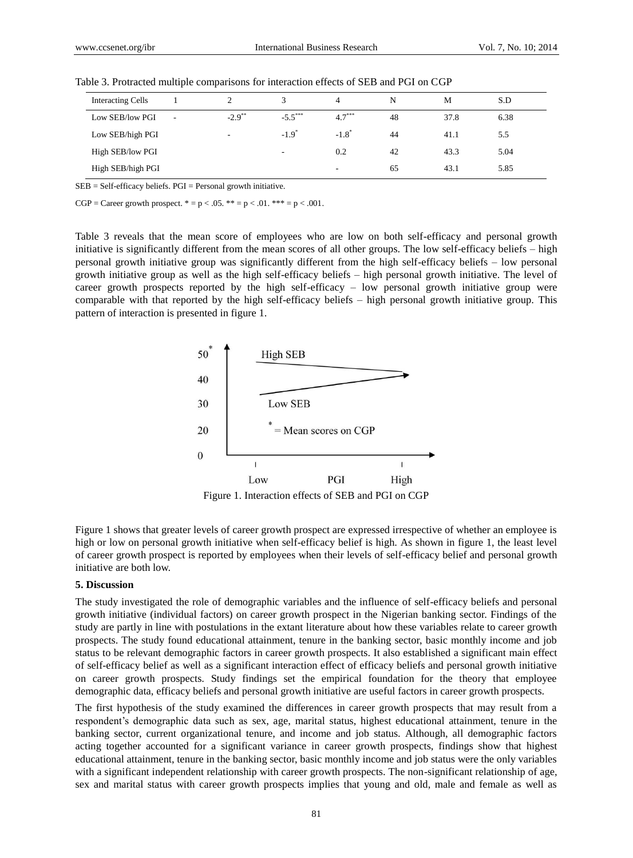| <b>Interacting Cells</b> |                          |                          | 3                        | 4                   | N  | M    | S.D  |
|--------------------------|--------------------------|--------------------------|--------------------------|---------------------|----|------|------|
| Low SEB/low PGI          | $\overline{\phantom{a}}$ | $-2.9$ <sup>**</sup>     | $-5.5***$                | $4.7***$            | 48 | 37.8 | 6.38 |
| Low SEB/high PGI         |                          | $\overline{\phantom{a}}$ | $-1.9^*$                 | $-1.8$ <sup>*</sup> | 44 | 41.1 | 5.5  |
| High SEB/low PGI         |                          |                          | $\overline{\phantom{a}}$ | 0.2                 | 42 | 43.3 | 5.04 |
| High SEB/high PGI        |                          |                          |                          |                     | 65 | 43.1 | 5.85 |

Table 3. Protracted multiple comparisons for interaction effects of SEB and PGI on CGP

 $SEB = Self\text{-efficacy beliefs}$ .  $PGI = Personal growth initiative$ .

CGP = Career growth prospect.  $* = p < .05$ .  $** = p < .01$ .  $*** = p < .001$ .

Table 3 reveals that the mean score of employees who are low on both self-efficacy and personal growth initiative is significantly different from the mean scores of all other groups. The low self-efficacy beliefs – high personal growth initiative group was significantly different from the high self-efficacy beliefs – low personal growth initiative group as well as the high self-efficacy beliefs – high personal growth initiative. The level of career growth prospects reported by the high self-efficacy – low personal growth initiative group were comparable with that reported by the high self-efficacy beliefs – high personal growth initiative group. This pattern of interaction is presented in figure 1.



Figure 1. Interaction effects of SEB and PGI on CGP

Figure 1 shows that greater levels of career growth prospect are expressed irrespective of whether an employee is high or low on personal growth initiative when self-efficacy belief is high. As shown in figure 1, the least level of career growth prospect is reported by employees when their levels of self-efficacy belief and personal growth initiative are both low.

#### **5. Discussion**

The study investigated the role of demographic variables and the influence of self-efficacy beliefs and personal growth initiative (individual factors) on career growth prospect in the Nigerian banking sector. Findings of the study are partly in line with postulations in the extant literature about how these variables relate to career growth prospects. The study found educational attainment, tenure in the banking sector, basic monthly income and job status to be relevant demographic factors in career growth prospects. It also established a significant main effect of self-efficacy belief as well as a significant interaction effect of efficacy beliefs and personal growth initiative on career growth prospects. Study findings set the empirical foundation for the theory that employee demographic data, efficacy beliefs and personal growth initiative are useful factors in career growth prospects.

The first hypothesis of the study examined the differences in career growth prospects that may result from a respondent"s demographic data such as sex, age, marital status, highest educational attainment, tenure in the banking sector, current organizational tenure, and income and job status. Although, all demographic factors acting together accounted for a significant variance in career growth prospects, findings show that highest educational attainment, tenure in the banking sector, basic monthly income and job status were the only variables with a significant independent relationship with career growth prospects. The non-significant relationship of age, sex and marital status with career growth prospects implies that young and old, male and female as well as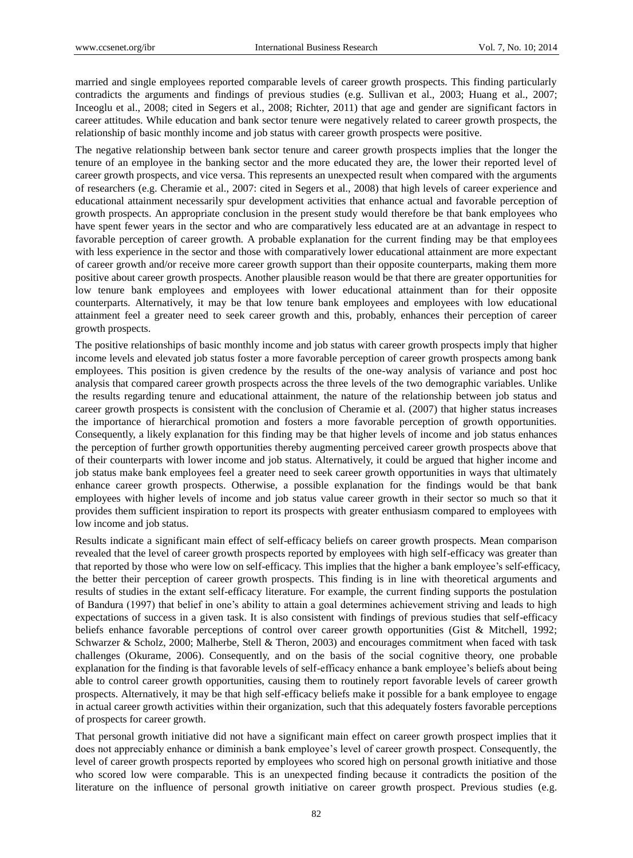married and single employees reported comparable levels of career growth prospects. This finding particularly contradicts the arguments and findings of previous studies (e.g. Sullivan et al., 2003; Huang et al., 2007; Inceoglu et al., 2008; cited in Segers et al., 2008; Richter, 2011) that age and gender are significant factors in career attitudes. While education and bank sector tenure were negatively related to career growth prospects, the relationship of basic monthly income and job status with career growth prospects were positive.

The negative relationship between bank sector tenure and career growth prospects implies that the longer the tenure of an employee in the banking sector and the more educated they are, the lower their reported level of career growth prospects, and vice versa. This represents an unexpected result when compared with the arguments of researchers (e.g. Cheramie et al., 2007: cited in Segers et al., 2008) that high levels of career experience and educational attainment necessarily spur development activities that enhance actual and favorable perception of growth prospects. An appropriate conclusion in the present study would therefore be that bank employees who have spent fewer years in the sector and who are comparatively less educated are at an advantage in respect to favorable perception of career growth. A probable explanation for the current finding may be that employees with less experience in the sector and those with comparatively lower educational attainment are more expectant of career growth and/or receive more career growth support than their opposite counterparts, making them more positive about career growth prospects. Another plausible reason would be that there are greater opportunities for low tenure bank employees and employees with lower educational attainment than for their opposite counterparts. Alternatively, it may be that low tenure bank employees and employees with low educational attainment feel a greater need to seek career growth and this, probably, enhances their perception of career growth prospects.

The positive relationships of basic monthly income and job status with career growth prospects imply that higher income levels and elevated job status foster a more favorable perception of career growth prospects among bank employees. This position is given credence by the results of the one-way analysis of variance and post hoc analysis that compared career growth prospects across the three levels of the two demographic variables. Unlike the results regarding tenure and educational attainment, the nature of the relationship between job status and career growth prospects is consistent with the conclusion of Cheramie et al. (2007) that higher status increases the importance of hierarchical promotion and fosters a more favorable perception of growth opportunities. Consequently, a likely explanation for this finding may be that higher levels of income and job status enhances the perception of further growth opportunities thereby augmenting perceived career growth prospects above that of their counterparts with lower income and job status. Alternatively, it could be argued that higher income and job status make bank employees feel a greater need to seek career growth opportunities in ways that ultimately enhance career growth prospects. Otherwise, a possible explanation for the findings would be that bank employees with higher levels of income and job status value career growth in their sector so much so that it provides them sufficient inspiration to report its prospects with greater enthusiasm compared to employees with low income and job status.

Results indicate a significant main effect of self-efficacy beliefs on career growth prospects. Mean comparison revealed that the level of career growth prospects reported by employees with high self-efficacy was greater than that reported by those who were low on self-efficacy. This implies that the higher a bank employee"s self-efficacy, the better their perception of career growth prospects. This finding is in line with theoretical arguments and results of studies in the extant self-efficacy literature. For example, the current finding supports the postulation of Bandura (1997) that belief in one"s ability to attain a goal determines achievement striving and leads to high expectations of success in a given task. It is also consistent with findings of previous studies that self-efficacy beliefs enhance favorable perceptions of control over career growth opportunities (Gist & Mitchell, 1992; Schwarzer & Scholz, 2000; Malherbe, Stell & Theron, 2003) and encourages commitment when faced with task challenges (Okurame, 2006). Consequently, and on the basis of the social cognitive theory, one probable explanation for the finding is that favorable levels of self-efficacy enhance a bank employee"s beliefs about being able to control career growth opportunities, causing them to routinely report favorable levels of career growth prospects. Alternatively, it may be that high self-efficacy beliefs make it possible for a bank employee to engage in actual career growth activities within their organization, such that this adequately fosters favorable perceptions of prospects for career growth.

That personal growth initiative did not have a significant main effect on career growth prospect implies that it does not appreciably enhance or diminish a bank employee"s level of career growth prospect. Consequently, the level of career growth prospects reported by employees who scored high on personal growth initiative and those who scored low were comparable. This is an unexpected finding because it contradicts the position of the literature on the influence of personal growth initiative on career growth prospect. Previous studies (e.g.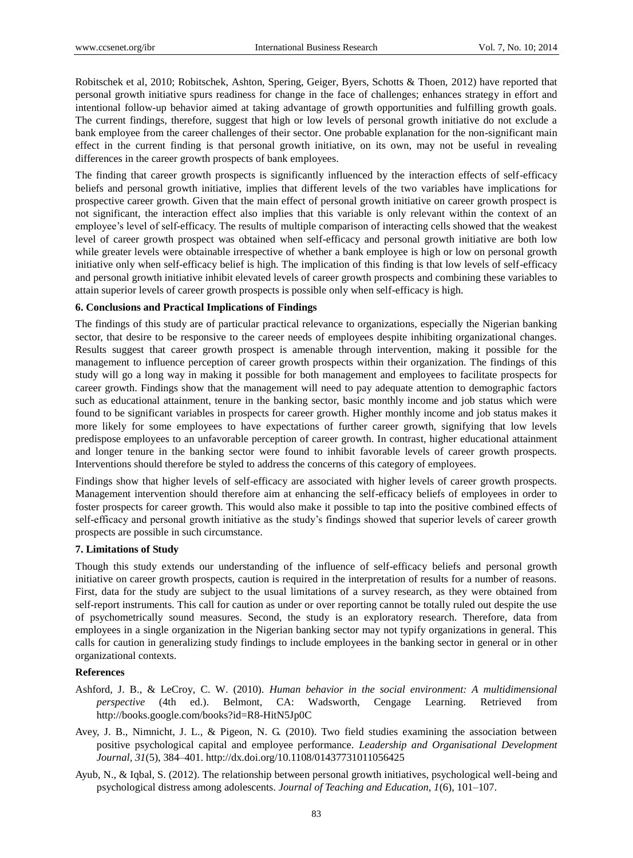Robitschek et al, 2010; Robitschek, Ashton, Spering, Geiger, Byers, Schotts & Thoen, 2012) have reported that personal growth initiative spurs readiness for change in the face of challenges; enhances strategy in effort and intentional follow-up behavior aimed at taking advantage of growth opportunities and fulfilling growth goals. The current findings, therefore, suggest that high or low levels of personal growth initiative do not exclude a bank employee from the career challenges of their sector. One probable explanation for the non-significant main effect in the current finding is that personal growth initiative, on its own, may not be useful in revealing differences in the career growth prospects of bank employees.

The finding that career growth prospects is significantly influenced by the interaction effects of self-efficacy beliefs and personal growth initiative, implies that different levels of the two variables have implications for prospective career growth. Given that the main effect of personal growth initiative on career growth prospect is not significant, the interaction effect also implies that this variable is only relevant within the context of an employee"s level of self-efficacy. The results of multiple comparison of interacting cells showed that the weakest level of career growth prospect was obtained when self-efficacy and personal growth initiative are both low while greater levels were obtainable irrespective of whether a bank employee is high or low on personal growth initiative only when self-efficacy belief is high. The implication of this finding is that low levels of self-efficacy and personal growth initiative inhibit elevated levels of career growth prospects and combining these variables to attain superior levels of career growth prospects is possible only when self-efficacy is high.

## **6. Conclusions and Practical Implications of Findings**

The findings of this study are of particular practical relevance to organizations, especially the Nigerian banking sector, that desire to be responsive to the career needs of employees despite inhibiting organizational changes. Results suggest that career growth prospect is amenable through intervention, making it possible for the management to influence perception of career growth prospects within their organization. The findings of this study will go a long way in making it possible for both management and employees to facilitate prospects for career growth. Findings show that the management will need to pay adequate attention to demographic factors such as educational attainment, tenure in the banking sector, basic monthly income and job status which were found to be significant variables in prospects for career growth. Higher monthly income and job status makes it more likely for some employees to have expectations of further career growth, signifying that low levels predispose employees to an unfavorable perception of career growth. In contrast, higher educational attainment and longer tenure in the banking sector were found to inhibit favorable levels of career growth prospects. Interventions should therefore be styled to address the concerns of this category of employees.

Findings show that higher levels of self-efficacy are associated with higher levels of career growth prospects. Management intervention should therefore aim at enhancing the self-efficacy beliefs of employees in order to foster prospects for career growth. This would also make it possible to tap into the positive combined effects of self-efficacy and personal growth initiative as the study"s findings showed that superior levels of career growth prospects are possible in such circumstance.

## **7. Limitations of Study**

Though this study extends our understanding of the influence of self-efficacy beliefs and personal growth initiative on career growth prospects, caution is required in the interpretation of results for a number of reasons. First, data for the study are subject to the usual limitations of a survey research, as they were obtained from self-report instruments. This call for caution as under or over reporting cannot be totally ruled out despite the use of psychometrically sound measures. Second, the study is an exploratory research. Therefore, data from employees in a single organization in the Nigerian banking sector may not typify organizations in general. This calls for caution in generalizing study findings to include employees in the banking sector in general or in other organizational contexts.

## **References**

- Ashford, J. B., & LeCroy, C. W. (2010). *Human behavior in the social environment: A multidimensional perspective* (4th ed.). Belmont, CA: Wadsworth, Cengage Learning. Retrieved from http://books.google.com/books?id=R8-HitN5Jp0C
- Avey, J. B., Nimnicht, J. L., & Pigeon, N. G. (2010). Two field studies examining the association between positive psychological capital and employee performance. *Leadership and Organisational Development Journal, 31*(5), 384–401. http://dx.doi.org/10.1108/01437731011056425
- Ayub, N., & Iqbal, S. (2012). The relationship between personal growth initiatives, psychological well-being and psychological distress among adolescents. *Journal of Teaching and Education, 1*(6), 101–107.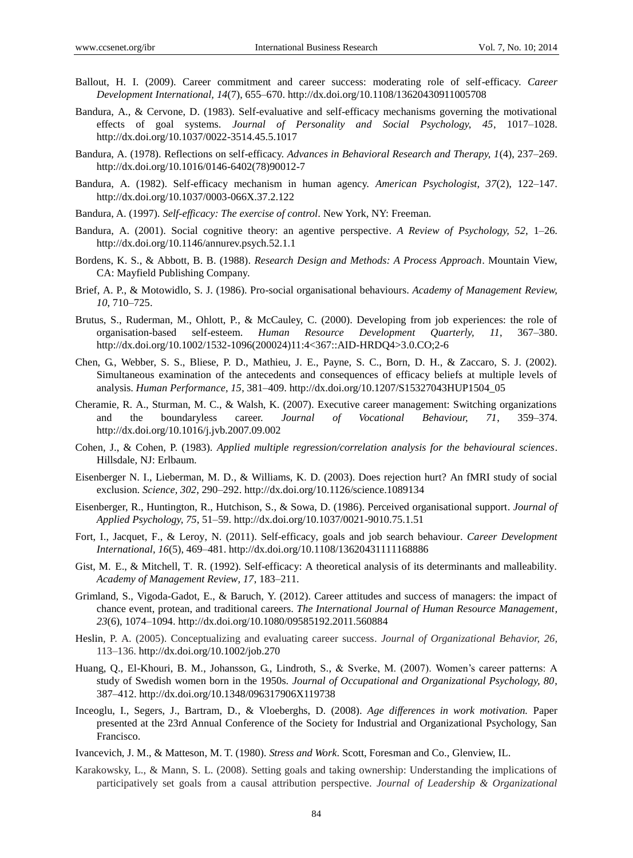- Ballout, H. I. (2009). Career commitment and career success: moderating role of self-efficacy. *Career Development International, 14*(7), 655–670. http://dx.doi.org/10.1108/13620430911005708
- Bandura, A., & Cervone, D. (1983). Self-evaluative and self-efficacy mechanisms governing the motivational effects of goal systems. *Journal of Personality and Social Psychology, 45*, 1017–1028. http://dx.doi.org/10.1037/0022-3514.45.5.1017
- Bandura, A. (1978). Reflections on self-efficacy. *Advances in Behavioral Research and Therapy, 1*(4), 237–269. http://dx.doi.org/10.1016/0146-6402(78)90012-7
- Bandura, A. (1982). Self-efficacy mechanism in human agency. *American Psychologist, 37*(2), 122–147. http://dx.doi.org/10.1037/0003-066X.37.2.122
- Bandura, A. (1997). *Self-efficacy: The exercise of control*. New York, NY: Freeman.
- Bandura, A. (2001). Social cognitive theory: an agentive perspective. *A Review of Psychology, 52,* 1–26. http://dx.doi.org/10.1146/annurev.psych.52.1.1
- Bordens, K. S., & Abbott, B. B. (1988). *Research Design and Methods: A Process Approach*. Mountain View, CA: Mayfield Publishing Company.
- Brief, A. P., & Motowidlo, S. J. (1986). Pro-social organisational behaviours. *Academy of Management Review, 10*, 710–725.
- Brutus, S., Ruderman, M., Ohlott, P., & McCauley, C. (2000). Developing from job experiences: the role of organisation-based self-esteem. *Human Resource Development Quarterly, 11*, 367–380. http://dx.doi.org/10.1002/1532-1096(200024)11:4<367::AID-HRDQ4>3.0.CO;2-6
- Chen, G., Webber, S. S., Bliese, P. D., Mathieu, J. E., Payne, S. C., Born, D. H., & Zaccaro, S. J. (2002). Simultaneous examination of the antecedents and consequences of efficacy beliefs at multiple levels of analysis. *Human Performance, 15*, 381–409. http://dx.doi.org/10.1207/S15327043HUP1504\_05
- Cheramie, R. A., Sturman, M. C., & Walsh, K. (2007). Executive career management: Switching organizations and the boundaryless career. *Journal of Vocational Behaviour, 71*, 359–374. http://dx.doi.org/10.1016/j.jvb.2007.09.002
- Cohen, J., & Cohen, P. (1983). *Applied multiple regression/correlation analysis for the behavioural sciences*. Hillsdale, NJ: Erlbaum.
- Eisenberger N. I., Lieberman, M. D., & Williams, K. D. (2003). Does rejection hurt? An fMRI study of social exclusion. *Science, 302*, 290–292. http://dx.doi.org/10.1126/science.1089134
- Eisenberger, R., Huntington, R., Hutchison, S., & Sowa, D. (1986). Perceived organisational support. *Journal of Applied Psychology, 75*, 51–59. http://dx.doi.org/10.1037/0021-9010.75.1.51
- Fort, I., Jacquet, F., & Leroy, N. (2011). Self-efficacy, goals and job search behaviour. *Career Development International, 16*(5), 469–481. http://dx.doi.org/10.1108/13620431111168886
- Gist, M. E., & Mitchell, T. R. (1992). Self-efficacy: A theoretical analysis of its determinants and malleability. *Academy of Management Review, 17*, 183–211.
- Grimland, S., Vigoda-Gadot, E., & Baruch, Y. (2012). Career attitudes and success of managers: the impact of chance event, protean, and traditional careers. *The International Journal of Human Resource Management, 23*(6), 1074–1094. http://dx.doi.org/10.1080/09585192.2011.560884
- Heslin, P. A. (2005). Conceptualizing and evaluating career success. *Journal of Organizational Behavior, 26,* 113–136. http://dx.doi.org/10.1002/job.270
- Huang, Q., El-Khouri, B. M., Johansson, G., Lindroth, S., & Sverke, M. (2007). Women"s career patterns: A study of Swedish women born in the 1950s. *Journal of Occupational and Organizational Psychology, 80*, 387–412. http://dx.doi.org/10.1348/096317906X119738
- Inceoglu, I., Segers, J., Bartram, D., & Vloeberghs, D. (2008). *Age differences in work motivation.* Paper presented at the 23rd Annual Conference of the Society for Industrial and Organizational Psychology, San Francisco.
- Ivancevich, J. M., & Matteson, M. T. (1980). *Stress and Work*. Scott, Foresman and Co., Glenview, IL.
- Karakowsky, L., & Mann, S. L. (2008). Setting goals and taking ownership: Understanding the implications of participatively set goals from a causal attribution perspective. *Journal of Leadership & Organizational*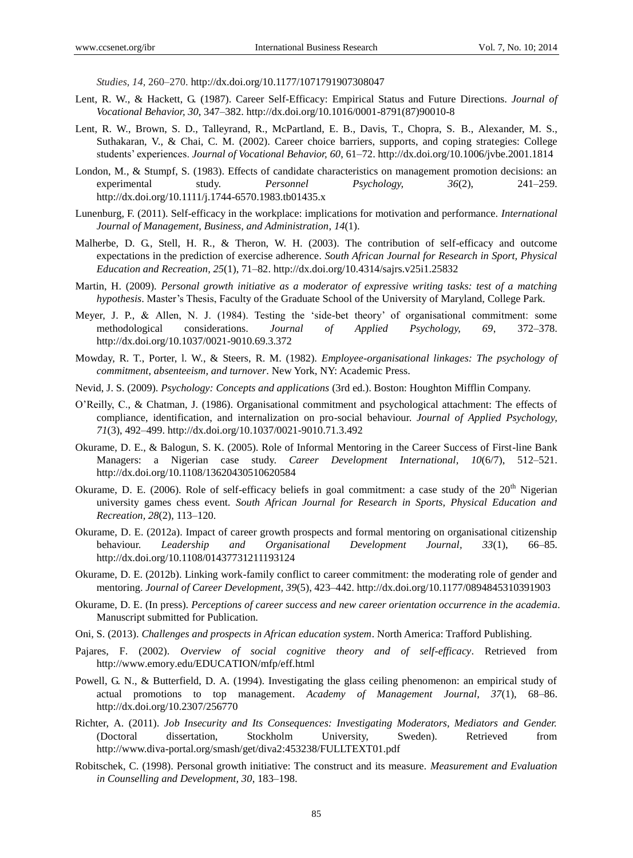*Studies, 14,* 260–270. http://dx.doi.org/10.1177/1071791907308047

- Lent, R. W., & Hackett, G. (1987). Career Self-Efficacy: Empirical Status and Future Directions. *Journal of Vocational Behavior, 30*, 347–382. http://dx.doi.org/10.1016/0001-8791(87)90010-8
- Lent, R. W., Brown, S. D., Talleyrand, R., McPartland, E. B., Davis, T., Chopra, S. B., Alexander, M. S., Suthakaran, V., & Chai, C. M. (2002). Career choice barriers, supports, and coping strategies: College students" experiences. *Journal of Vocational Behavior, 60*, 61–72. http://dx.doi.org/10.1006/jvbe.2001.1814
- London, M., & Stumpf, S. (1983). Effects of candidate characteristics on management promotion decisions: an experimental study. *Personnel Psychology, 36*(2), 241–259*.* http://dx.doi.org/10.1111/j.1744-6570.1983.tb01435.x
- Lunenburg, F. (2011). Self-efficacy in the workplace: implications for motivation and performance. *International Journal of Management, Business, and Administration*, *14*(1).
- Malherbe, D. G., Stell, H. R., & Theron, W. H. (2003). The contribution of self-efficacy and outcome expectations in the prediction of exercise adherence. *South African Journal for Research in Sport, Physical Education and Recreation, 25*(1), 71–82. http://dx.doi.org/10.4314/sajrs.v25i1.25832
- Martin, H. (2009). *Personal growth initiative as a moderator of expressive writing tasks: test of a matching hypothesis*. Master's Thesis, Faculty of the Graduate School of the University of Maryland, College Park.
- Meyer, J. P., & Allen, N. J. (1984). Testing the "side-bet theory" of organisational commitment: some methodological considerations. *Journal of Applied Psychology, 69*, 372–378. http://dx.doi.org/10.1037/0021-9010.69.3.372
- Mowday, R. T., Porter, l. W., & Steers, R. M. (1982). *Employee-organisational linkages: The psychology of commitment, absenteeism, and turnover*. New York, NY: Academic Press.
- Nevid, J. S. (2009). *Psychology: Concepts and applications* (3rd ed.). Boston: Houghton Mifflin Company.
- O"Reilly, C., & Chatman, J. (1986). Organisational commitment and psychological attachment: The effects of compliance, identification, and internalization on pro-social behaviour. *Journal of Applied Psychology, 71*(3), 492–499. http://dx.doi.org/10.1037/0021-9010.71.3.492
- Okurame, D. E., & Balogun, S. K. (2005). Role of Informal Mentoring in the Career Success of First-line Bank Managers: a Nigerian case study. *Career Development International, 10*(6/7), 512–521. http://dx.doi.org/10.1108/13620430510620584
- Okurame, D. E. (2006). Role of self-efficacy beliefs in goal commitment: a case study of the  $20<sup>th</sup>$  Nigerian university games chess event. *South African Journal for Research in Sports, Physical Education and Recreation, 28*(2), 113–120.
- Okurame, D. E. (2012a). Impact of career growth prospects and formal mentoring on organisational citizenship behaviour. *Leadership and Organisational Development Journal, 33*(1), 66–85. http://dx.doi.org/10.1108/01437731211193124
- Okurame, D. E. (2012b). Linking work-family conflict to career commitment: the moderating role of gender and mentoring. *Journal of Career Development, 39*(5), 423–442. http://dx.doi.org/10.1177/0894845310391903
- Okurame, D. E. (In press). *Perceptions of career success and new career orientation occurrence in the academia*. Manuscript submitted for Publication.
- Oni, S. (2013). *Challenges and prospects in African education system*. North America: Trafford Publishing.
- Pajares, F. (2002). *Overview of social cognitive theory and of self-efficacy*. Retrieved from http://www.emory.edu/EDUCATION/mfp/eff.html
- Powell, G. N., & Butterfield, D. A. (1994). Investigating the glass ceiling phenomenon: an empirical study of actual promotions to top management. *Academy of Management Journal, 37*(1), 68–86. http://dx.doi.org/10.2307/256770
- Richter, A. (2011). *Job Insecurity and Its Consequences: Investigating Moderators, Mediators and Gender.*  (Doctoral dissertation, Stockholm University, Sweden). Retrieved from http://www.diva-portal.org/smash/get/diva2:453238/FULLTEXT01.pdf
- Robitschek, C. (1998). Personal growth initiative: The construct and its measure. *Measurement and Evaluation in Counselling and Development, 30*, 183–198.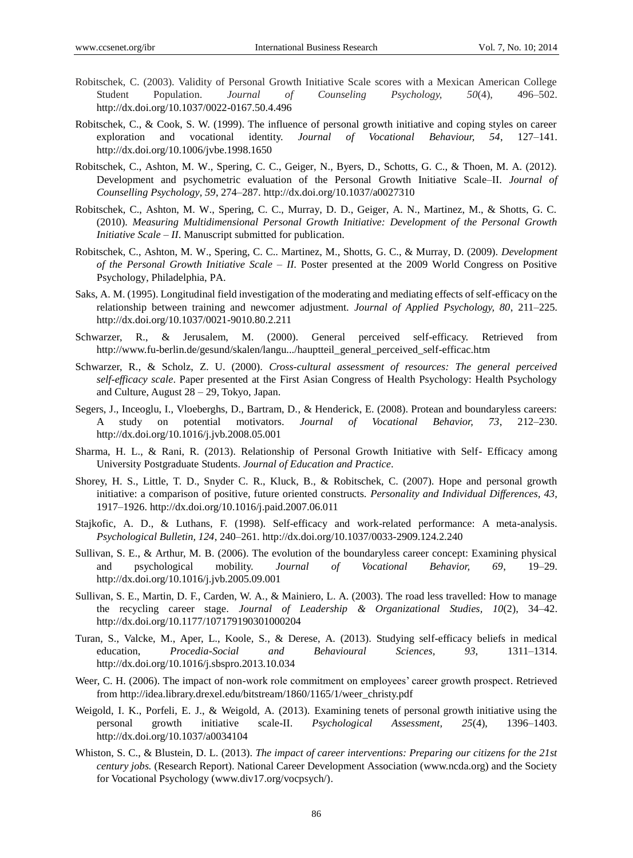- Robitschek, C. (2003). Validity of Personal Growth Initiative Scale scores with a Mexican American College Student Population. *Journal of Counseling Psychology, 50*(4), 496–502. http://dx.doi.org/10.1037/0022-0167.50.4.496
- Robitschek, C., & Cook, S. W. (1999). The influence of personal growth initiative and coping styles on career exploration and vocational identity. *Journal of Vocational Behaviour, 54*, 127–141. http://dx.doi.org/10.1006/jvbe.1998.1650
- Robitschek, C., Ashton, M. W., Spering, C. C., Geiger, N., Byers, D., Schotts, G. C., & Thoen, M. A. (2012). Development and psychometric evaluation of the Personal Growth Initiative Scale–II. *Journal of Counselling Psychology, 59*, 274–287. http://dx.doi.org/10.1037/a0027310
- Robitschek, C., Ashton, M. W., Spering, C. C., Murray, D. D., Geiger, A. N., Martinez, M., & Shotts, G. C. (2010). *Measuring Multidimensional Personal Growth Initiative: Development of the Personal Growth Initiative Scale – II*. Manuscript submitted for publication.
- Robitschek, C., Ashton, M. W., Spering, C. C.. Martinez, M., Shotts, G. C., & Murray, D. (2009). *Development of the Personal Growth Initiative Scale – II*. Poster presented at the 2009 World Congress on Positive Psychology, Philadelphia, PA.
- Saks, A. M. (1995). Longitudinal field investigation of the moderating and mediating effects of self-efficacy on the relationship between training and newcomer adjustment. *Journal of Applied Psychology, 80*, 211–225. http://dx.doi.org/10.1037/0021-9010.80.2.211
- Schwarzer, R., & Jerusalem, M. (2000). General perceived self-efficacy. Retrieved from http://www.fu-berlin.de/gesund/skalen/langu.../hauptteil\_general\_perceived\_self-efficac.htm
- Schwarzer, R., & Scholz, Z. U. (2000). *Cross-cultural assessment of resources: The general perceived self-efficacy scale*. Paper presented at the First Asian Congress of Health Psychology: Health Psychology and Culture, August 28 – 29, Tokyo, Japan.
- Segers, J., Inceoglu, I., Vloeberghs, D., Bartram, D., & Henderick, E. (2008). Protean and boundaryless careers: A study on potential motivators. *Journal of Vocational Behavior, 73*, 212–230. http://dx.doi.org/10.1016/j.jvb.2008.05.001
- Sharma, H. L., & Rani, R. (2013). Relationship of Personal Growth Initiative with Self- Efficacy among University Postgraduate Students. *Journal of Education and Practice*.
- Shorey, H. S., Little, T. D., Snyder C. R., Kluck, B., & Robitschek, C. (2007). Hope and personal growth initiative: a comparison of positive, future oriented constructs. *Personality and Individual Differences, 43*, 1917–1926. http://dx.doi.org/10.1016/j.paid.2007.06.011
- Stajkofic, A. D., & Luthans, F. (1998). Self-efficacy and work-related performance: A meta-analysis. *Psychological Bulletin, 124*, 240–261. http://dx.doi.org/10.1037/0033-2909.124.2.240
- Sullivan, S. E., & Arthur, M. B. (2006). The evolution of the boundaryless career concept: Examining physical and psychological mobility. *Journal of Vocational Behavior, 69*, 19–29. http://dx.doi.org/10.1016/j.jvb.2005.09.001
- Sullivan, S. E., Martin, D. F., Carden, W. A., & Mainiero, L. A. (2003). The road less travelled: How to manage the recycling career stage. *Journal of Leadership & Organizational Studies, 10*(2), 34–42. http://dx.doi.org/10.1177/107179190301000204
- Turan, S., Valcke, M., Aper, L., Koole, S., & Derese, A. (2013). Studying self-efficacy beliefs in medical education, *Procedia-Social and Behavioural Sciences, 93*, 1311–1314. http://dx.doi.org/10.1016/j.sbspro.2013.10.034
- Weer, C. H. (2006). The impact of non-work role commitment on employees' career growth prospect. Retrieved from http://idea.library.drexel.edu/bitstream/1860/1165/1/weer\_christy.pdf
- Weigold, I. K., Porfeli, E. J., & Weigold, A. (2013). Examining tenets of personal growth initiative using the personal growth initiative scale-II. *Psychological Assessment, 25*(4), 1396–1403. http://dx.doi.org/10.1037/a0034104
- Whiston, S. C., & Blustein, D. L. (2013). *The impact of career interventions: Preparing our citizens for the 21st century jobs.* (Research Report). National Career Development Association (www.ncda.org) and the Society for Vocational Psychology (www.div17.org/vocpsych/).